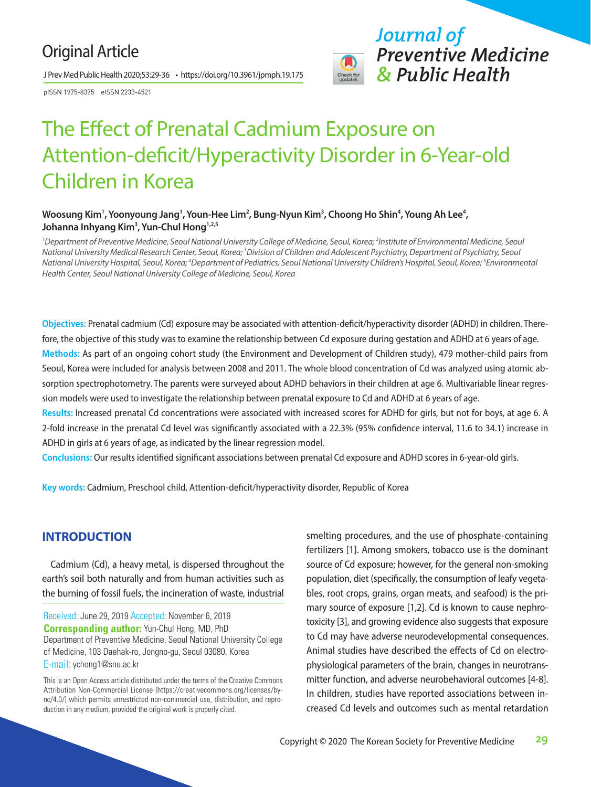## Original Article

J Prev Med Public Health 2020;53:29-36 • https://doi.org/10.3961/jpmph.19.175

pISSN 1975-8375 eISSN 2233-4521



# The Effect of Prenatal Cadmium Exposure on Attention-deficit/Hyperactivity Disorder in 6-Year-old Children in Korea

#### Woosung Kim<sup>1</sup>, Yoonyoung Jang<sup>1</sup>, Youn-Hee Lim<sup>2</sup>, Bung-Nyun Kim<sup>3</sup>, Choong Ho Shin<sup>4</sup>, Young Ah Lee<sup>4</sup>, **Johanna Inhyang Kim3 , Yun-Chul Hong1,2,5**

<sup>1</sup> Department of Preventive Medicine, Seoul National University College of Medicine, Seoul, Korea; <sup>2</sup>Institute of Environmental Medicine, Seoul *National University Medical Research Center, Seoul, Korea; 3 Division of Children and Adolescent Psychiatry, Department of Psychiatry, Seoul National University Hospital, Seoul, Korea; 4 Department of Pediatrics, Seoul National University Children's Hospital, Seoul, Korea; 5 Environmental Health Center, Seoul National University College of Medicine, Seoul, Korea*

**Objectives:** Prenatal cadmium (Cd) exposure may be associated with attention-deficit/hyperactivity disorder (ADHD) in children. Therefore, the objective of this study was to examine the relationship between Cd exposure during gestation and ADHD at 6 years of age. **Methods:** As part of an ongoing cohort study (the Environment and Development of Children study), 479 mother-child pairs from Seoul, Korea were included for analysis between 2008 and 2011. The whole blood concentration of Cd was analyzed using atomic absorption spectrophotometry. The parents were surveyed about ADHD behaviors in their children at age 6. Multivariable linear regression models were used to investigate the relationship between prenatal exposure to Cd and ADHD at 6 years of age.

**Results:** Increased prenatal Cd concentrations were associated with increased scores for ADHD for girls, but not for boys, at age 6. A 2-fold increase in the prenatal Cd level was significantly associated with a 22.3% (95% confidence interval, 11.6 to 34.1) increase in ADHD in girls at 6 years of age, as indicated by the linear regression model.

**Conclusions:** Our results identified significant associations between prenatal Cd exposure and ADHD scores in 6-year-old girls.

**Key words:** Cadmium, Preschool child, Attention-deficit/hyperactivity disorder, Republic of Korea

## **INTRODUCTION**

Cadmium (Cd), a heavy metal, is dispersed throughout the earth's soil both naturally and from human activities such as the burning of fossil fuels, the incineration of waste, industrial

Received: June 29, 2019 Accepted: November 6, 2019 **Corresponding author:** Yun-Chul Hong, MD, PhD Department of Preventive Medicine, Seoul National University College of Medicine, 103 Daehak-ro, Jongno-gu, Seoul 03080, Korea E-mail: ychong1@snu.ac.kr

This is an Open Access article distributed under the terms of the Creative Commons Attribution Non-Commercial License (https://creativecommons.org/licenses/bync/4.0/) which permits unrestricted non-commercial use, distribution, and reproduction in any medium, provided the original work is properly cited.

smelting procedures, and the use of phosphate-containing fertilizers [1]. Among smokers, tobacco use is the dominant source of Cd exposure; however, for the general non-smoking population, diet (specifically, the consumption of leafy vegetables, root crops, grains, organ meats, and seafood) is the primary source of exposure [1,2]. Cd is known to cause nephrotoxicity [3], and growing evidence also suggests that exposure to Cd may have adverse neurodevelopmental consequences. Animal studies have described the effects of Cd on electrophysiological parameters of the brain, changes in neurotransmitter function, and adverse neurobehavioral outcomes [4-8]. In children, studies have reported associations between increased Cd levels and outcomes such as mental retardation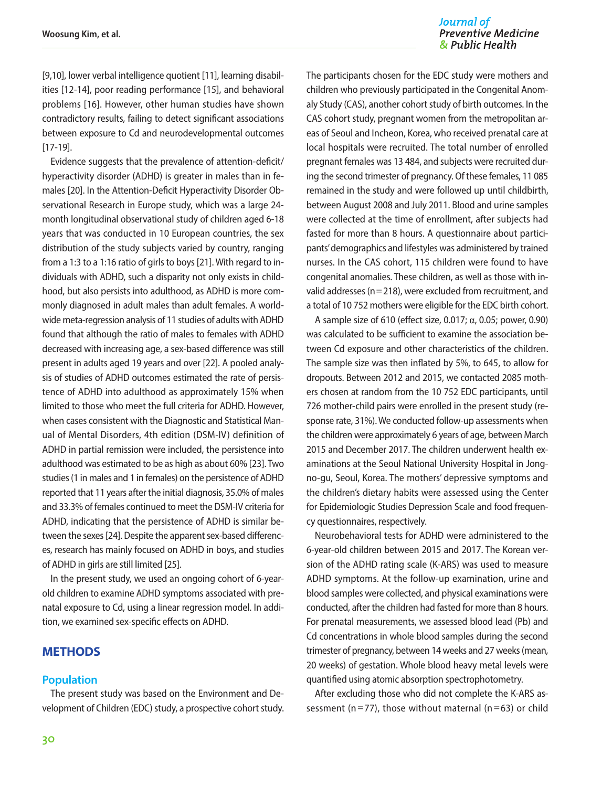Journal of **Preventive Medicine** & Public Health

[9,10], lower verbal intelligence quotient [11], learning disabilities [12-14], poor reading performance [15], and behavioral problems [16]. However, other human studies have shown contradictory results, failing to detect significant associations between exposure to Cd and neurodevelopmental outcomes [17-19].

Evidence suggests that the prevalence of attention-deficit/ hyperactivity disorder (ADHD) is greater in males than in females [20]. In the Attention-Deficit Hyperactivity Disorder Observational Research in Europe study, which was a large 24 month longitudinal observational study of children aged 6-18 years that was conducted in 10 European countries, the sex distribution of the study subjects varied by country, ranging from a 1:3 to a 1:16 ratio of girls to boys [21]. With regard to individuals with ADHD, such a disparity not only exists in childhood, but also persists into adulthood, as ADHD is more commonly diagnosed in adult males than adult females. A worldwide meta-regression analysis of 11 studies of adults with ADHD found that although the ratio of males to females with ADHD decreased with increasing age, a sex-based difference was still present in adults aged 19 years and over [22]. A pooled analysis of studies of ADHD outcomes estimated the rate of persistence of ADHD into adulthood as approximately 15% when limited to those who meet the full criteria for ADHD. However, when cases consistent with the Diagnostic and Statistical Manual of Mental Disorders, 4th edition (DSM-IV) definition of ADHD in partial remission were included, the persistence into adulthood was estimated to be as high as about 60% [23]. Two studies (1 in males and 1 in females) on the persistence of ADHD reported that 11 years after the initial diagnosis, 35.0% of males and 33.3% of females continued to meet the DSM-IV criteria for ADHD, indicating that the persistence of ADHD is similar between the sexes [24]. Despite the apparent sex-based differences, research has mainly focused on ADHD in boys, and studies of ADHD in girls are still limited [25].

In the present study, we used an ongoing cohort of 6-yearold children to examine ADHD symptoms associated with prenatal exposure to Cd, using a linear regression model. In addition, we examined sex-specific effects on ADHD.

### **METHODS**

#### **Population**

The present study was based on the Environment and Development of Children (EDC) study, a prospective cohort study.

The participants chosen for the EDC study were mothers and children who previously participated in the Congenital Anomaly Study (CAS), another cohort study of birth outcomes. In the CAS cohort study, pregnant women from the metropolitan areas of Seoul and Incheon, Korea, who received prenatal care at local hospitals were recruited. The total number of enrolled pregnant females was 13 484, and subjects were recruited during the second trimester of pregnancy. Of these females, 11 085 remained in the study and were followed up until childbirth, between August 2008 and July 2011. Blood and urine samples were collected at the time of enrollment, after subjects had fasted for more than 8 hours. A questionnaire about participants' demographics and lifestyles was administered by trained nurses. In the CAS cohort, 115 children were found to have congenital anomalies. These children, as well as those with invalid addresses ( $n=218$ ), were excluded from recruitment, and a total of 10 752 mothers were eligible for the EDC birth cohort.

A sample size of 610 (effect size, 0.017;  $\alpha$ , 0.05; power, 0.90) was calculated to be sufficient to examine the association between Cd exposure and other characteristics of the children. The sample size was then inflated by 5%, to 645, to allow for dropouts. Between 2012 and 2015, we contacted 2085 mothers chosen at random from the 10 752 EDC participants, until 726 mother-child pairs were enrolled in the present study (response rate, 31%). We conducted follow-up assessments when the children were approximately 6 years of age, between March 2015 and December 2017. The children underwent health examinations at the Seoul National University Hospital in Jongno-gu, Seoul, Korea. The mothers' depressive symptoms and the children's dietary habits were assessed using the Center for Epidemiologic Studies Depression Scale and food frequency questionnaires, respectively.

Neurobehavioral tests for ADHD were administered to the 6-year-old children between 2015 and 2017. The Korean version of the ADHD rating scale (K-ARS) was used to measure ADHD symptoms. At the follow-up examination, urine and blood samples were collected, and physical examinations were conducted, after the children had fasted for more than 8 hours. For prenatal measurements, we assessed blood lead (Pb) and Cd concentrations in whole blood samples during the second trimester of pregnancy, between 14 weeks and 27 weeks (mean, 20 weeks) of gestation. Whole blood heavy metal levels were quantified using atomic absorption spectrophotometry.

After excluding those who did not complete the K-ARS assessment (n=77), those without maternal (n=63) or child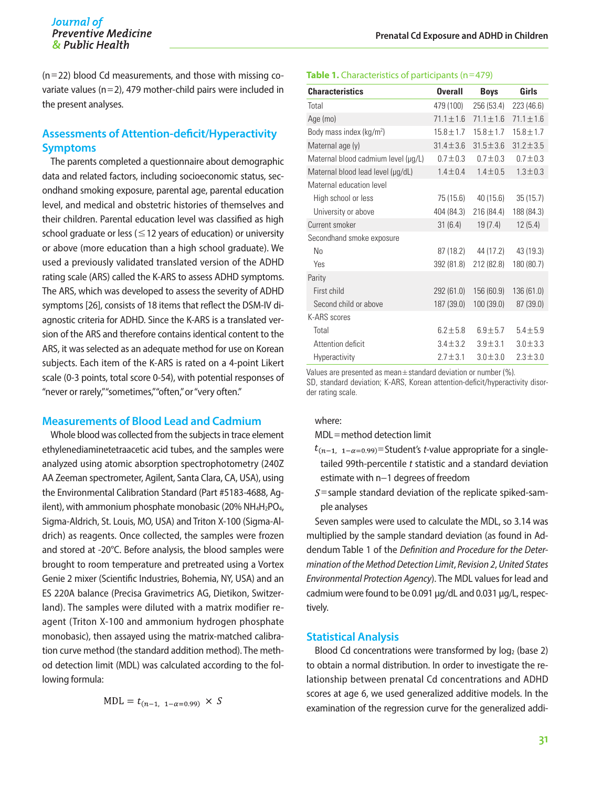$(n=22)$  blood Cd measurements, and those with missing covariate values (n=2), 479 mother-child pairs were included in the present analyses.

## **Assessments of Attention-deficit/Hyperactivity Symptoms**

The parents completed a questionnaire about demographic data and related factors, including socioeconomic status, secondhand smoking exposure, parental age, parental education level, and medical and obstetric histories of themselves and their children. Parental education level was classified as high school graduate or less ( $\leq$  12 years of education) or university or above (more education than a high school graduate). We used a previously validated translated version of the ADHD rating scale (ARS) called the K-ARS to assess ADHD symptoms. The ARS, which was developed to assess the severity of ADHD symptoms [26], consists of 18 items that reflect the DSM-IV diagnostic criteria for ADHD. Since the K-ARS is a translated version of the ARS and therefore contains identical content to the ARS, it was selected as an adequate method for use on Korean subjects. Each item of the K-ARS is rated on a 4-point Likert scale (0-3 points, total score 0-54), with potential responses of "never or rarely," "sometimes," "often," or "very often."

#### **Measurements of Blood Lead and Cadmium**

Whole blood was collected from the subjects in trace element ethylenediaminetetraacetic acid tubes, and the samples were analyzed using atomic absorption spectrophotometry (240Z AA Zeeman spectrometer, Agilent, Santa Clara, CA, USA), using the Environmental Calibration Standard (Part #5183-4688, Agilent), with ammonium phosphate monobasic (20% NH<sub>4</sub>H<sub>2</sub>PO<sub>4</sub>, Sigma-Aldrich, St. Louis, MO, USA) and Triton X-100 (Sigma-Aldrich) as reagents. Once collected, the samples were frozen and stored at -20°C. Before analysis, the blood samples were brought to room temperature and pretreated using a Vortex Genie 2 mixer (Scientific Industries, Bohemia, NY, USA) and an ES 220A balance (Precisa Gravimetrics AG, Dietikon, Switzerland). The samples were diluted with a matrix modifier reagent (Triton X-100 and ammonium hydrogen phosphate monobasic), then assayed using the matrix-matched calibration curve method (the standard addition method). The method detection limit (MDL) was calculated according to the following formula:

$$
MDL = t_{(n-1, 1-\alpha=0.99)} \times S
$$

#### **Table 1.** Characteristics of participants (n=479)

| <b>Characteristics</b>              | <b>Overall</b> | <b>Boys</b>    | Girls          |
|-------------------------------------|----------------|----------------|----------------|
| Total                               | 479 (100)      | 256 (53.4)     | 223 (46.6)     |
| Age (mo)                            | $71.1 \pm 1.6$ | $71.1 \pm 1.6$ | $71.1 \pm 1.6$ |
| Body mass index ( $kg/m2$ )         | $15.8 \pm 1.7$ | $15.8 \pm 1.7$ | $15.8 \pm 1.7$ |
| Maternal age (y)                    | $31.4 \pm 3.6$ | $31.5 \pm 3.6$ | $31.2 \pm 3.5$ |
| Maternal blood cadmium level (µg/L) | $0.7 \pm 0.3$  | $0.7 \pm 0.3$  | $0.7 \pm 0.3$  |
| Maternal blood lead level (µg/dL)   | $1.4 \pm 0.4$  | $1.4 \pm 0.5$  | $1.3 \pm 0.3$  |
| Maternal education level            |                |                |                |
| High school or less                 | 75 (15.6)      | 40 (15.6)      | 35(15.7)       |
| University or above                 | 404 (84.3)     | 216 (84.4)     | 188 (84.3)     |
| Current smoker                      | 31(6.4)        | 19(7.4)        | 12(5.4)        |
| Secondhand smoke exposure           |                |                |                |
| No                                  | 87 (18.2)      | 44 (17.2)      | 43 (19.3)      |
| Yes                                 | 392 (81.8)     | 212 (82.8)     | 180 (80.7)     |
| Parity                              |                |                |                |
| First child                         | 292 (61.0)     | 156 (60.9)     | 136 (61.0)     |
| Second child or above               | 187 (39.0)     | 100 (39.0)     | 87 (39.0)      |
| K-ARS scores                        |                |                |                |
| Total                               | $6.2 \pm 5.8$  | $6.9 + 5.7$    | $5.4 \pm 5.9$  |
| Attention deficit                   | $3.4 \pm 3.2$  | $3.9 + 3.1$    | $3.0 + 3.3$    |
| Hyperactivity                       | $2.7 \pm 3.1$  | $3.0 \pm 3.0$  | $2.3 \pm 3.0$  |

Values are presented as mean $\pm$ standard deviation or number (%).

SD, standard deviation; K-ARS, Korean attention-deficit/hyperactivity disorder rating scale.

#### where:

MDL=method detection limit

- $t_{(n-1,-1,-\alpha=0.99)}$ =Student's *t*-value appropriate for a singletailed 99th-percentile *t* statistic and a standard deviation estimate with n−1 degrees of freedom
- $S$ =sample standard deviation of the replicate spiked-sample analyses

Seven samples were used to calculate the MDL, so 3.14 was multiplied by the sample standard deviation (as found in Addendum Table 1 of the *Definition and Procedure for the Determination of the Method Detection Limit*, *Revision 2*, *United States Environmental Protection Agency*). The MDL values for lead and cadmium were found to be 0.091 μg/dL and 0.031 μg/L, respectively.

#### **Statistical Analysis**

Blood Cd concentrations were transformed by  $log<sub>2</sub>$  (base 2) to obtain a normal distribution. In order to investigate the relationship between prenatal Cd concentrations and ADHD scores at age 6, we used generalized additive models. In the examination of the regression curve for the generalized addi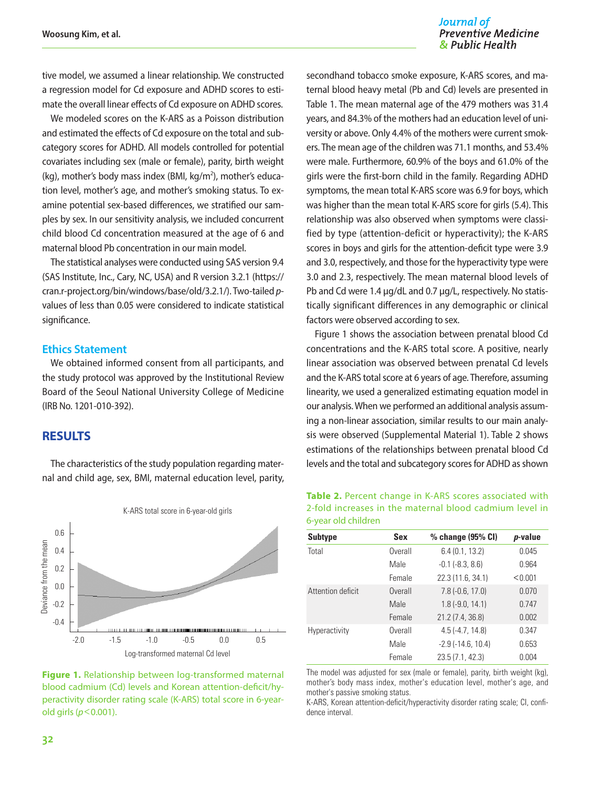tive model, we assumed a linear relationship. We constructed a regression model for Cd exposure and ADHD scores to estimate the overall linear effects of Cd exposure on ADHD scores.

We modeled scores on the K-ARS as a Poisson distribution and estimated the effects of Cd exposure on the total and subcategory scores for ADHD. All models controlled for potential covariates including sex (male or female), parity, birth weight (kg), mother's body mass index (BMI, kg/m<sup>2</sup>), mother's education level, mother's age, and mother's smoking status. To examine potential sex-based differences, we stratified our samples by sex. In our sensitivity analysis, we included concurrent child blood Cd concentration measured at the age of 6 and maternal blood Pb concentration in our main model.

The statistical analyses were conducted using SAS version 9.4 (SAS Institute, Inc., Cary, NC, USA) and R version 3.2.1 [\(https://](https://cran.r-project.org/bin/windows/base/old/3.2.1/) [cran.r-project.org/bin/windows/base/old/3.2.1/\)](https://cran.r-project.org/bin/windows/base/old/3.2.1/). Two-tailed *p*values of less than 0.05 were considered to indicate statistical significance.

#### **Ethics Statement**

We obtained informed consent from all participants, and the study protocol was approved by the Institutional Review Board of the Seoul National University College of Medicine (IRB No. 1201-010-392).

## **RESULTS**

The characteristics of the study population regarding maternal and child age, sex, BMI, maternal education level, parity,



**Figure 1.** Relationship between log-transformed maternal blood cadmium (Cd) levels and Korean attention-deficit/hyperactivity disorder rating scale (K-ARS) total score in 6-yearold girls (*p*<0.001).

#### Journal of **Preventive Medicine** & Public Health

secondhand tobacco smoke exposure, K-ARS scores, and maternal blood heavy metal (Pb and Cd) levels are presented in Table 1. The mean maternal age of the 479 mothers was 31.4 years, and 84.3% of the mothers had an education level of university or above. Only 4.4% of the mothers were current smokers. The mean age of the children was 71.1 months, and 53.4% were male. Furthermore, 60.9% of the boys and 61.0% of the girls were the first-born child in the family. Regarding ADHD symptoms, the mean total K-ARS score was 6.9 for boys, which was higher than the mean total K-ARS score for girls (5.4). This relationship was also observed when symptoms were classified by type (attention-deficit or hyperactivity); the K-ARS scores in boys and girls for the attention-deficit type were 3.9 and 3.0, respectively, and those for the hyperactivity type were 3.0 and 2.3, respectively. The mean maternal blood levels of Pb and Cd were 1.4 μg/dL and 0.7 μg/L, respectively. No statistically significant differences in any demographic or clinical factors were observed according to sex.

Figure 1 shows the association between prenatal blood Cd concentrations and the K-ARS total score. A positive, nearly linear association was observed between prenatal Cd levels and the K-ARS total score at 6 years of age. Therefore, assuming linearity, we used a generalized estimating equation model in our analysis. When we performed an additional analysis assuming a non-linear association, similar results to our main analysis were observed (Supplemental Material 1). Table 2 shows estimations of the relationships between prenatal blood Cd levels and the total and subcategory scores for ADHD as shown

| Table 2. Percent change in K-ARS scores associated with |  |  |  |
|---------------------------------------------------------|--|--|--|
| 2-fold increases in the maternal blood cadmium level in |  |  |  |
| 6-year old children                                     |  |  |  |

| <b>Subtype</b>    | Sex     | % change (95% CI)           | p-value |
|-------------------|---------|-----------------------------|---------|
| Total             | Overall | 6.4(0.1, 13.2)              | 0.045   |
|                   | Male    | $-0.1$ $(-8.3, 8.6)$        | 0.964   |
|                   | Female  | 22.3 (11.6, 34.1)           | < 0.001 |
| Attention deficit | Overall | $7.8(-0.6, 17.0)$           | 0.070   |
|                   | Male    | $1.8(-9.0, 14.1)$           | 0.747   |
|                   | Female  | 21.2 (7.4, 36.8)            | 0.002   |
| Hyperactivity     | Overall | $4.5(-4.7, 14.8)$           | 0.347   |
|                   | Male    | $-2.9$ ( $-14.6$ , $10.4$ ) | 0.653   |
|                   | Female  | 23.5 (7.1, 42.3)            | 0.004   |

The model was adjusted for sex (male or female), parity, birth weight (kg), mother's body mass index, mother's education level, mother's age, and mother's passive smoking status.

K-ARS, Korean attention-deficit/hyperactivity disorder rating scale; CI, confidence interval.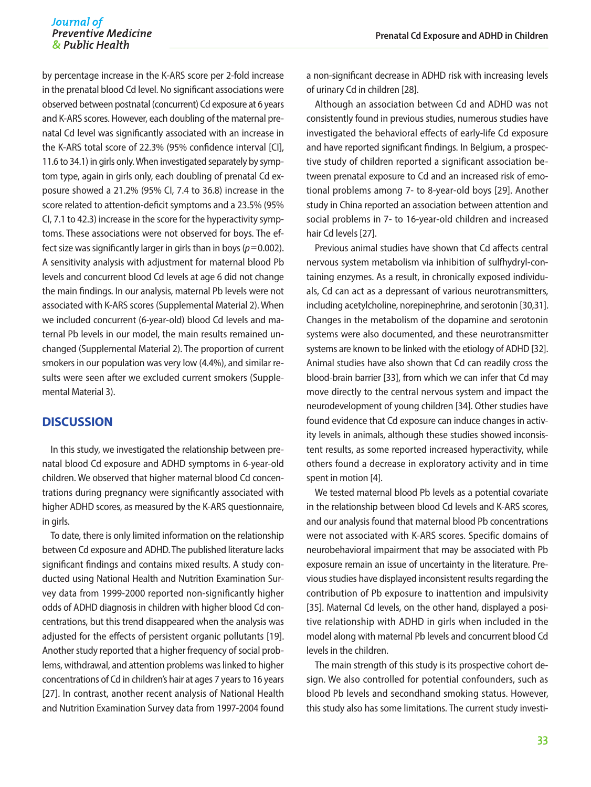by percentage increase in the K-ARS score per 2-fold increase in the prenatal blood Cd level. No significant associations were observed between postnatal (concurrent) Cd exposure at 6 years and K-ARS scores. However, each doubling of the maternal prenatal Cd level was significantly associated with an increase in the K-ARS total score of 22.3% (95% confidence interval [CI], 11.6 to 34.1) in girls only. When investigated separately by symptom type, again in girls only, each doubling of prenatal Cd exposure showed a 21.2% (95% CI, 7.4 to 36.8) increase in the score related to attention-deficit symptoms and a 23.5% (95% CI, 7.1 to 42.3) increase in the score for the hyperactivity symptoms. These associations were not observed for boys. The effect size was significantly larger in girls than in boys ( $p=0.002$ ). A sensitivity analysis with adjustment for maternal blood Pb levels and concurrent blood Cd levels at age 6 did not change the main findings. In our analysis, maternal Pb levels were not associated with K-ARS scores (Supplemental Material 2). When we included concurrent (6-year-old) blood Cd levels and maternal Pb levels in our model, the main results remained unchanged (Supplemental Material 2). The proportion of current smokers in our population was very low (4.4%), and similar results were seen after we excluded current smokers (Supplemental Material 3).

#### **DISCUSSION**

In this study, we investigated the relationship between prenatal blood Cd exposure and ADHD symptoms in 6-year-old children. We observed that higher maternal blood Cd concentrations during pregnancy were significantly associated with higher ADHD scores, as measured by the K-ARS questionnaire, in girls.

To date, there is only limited information on the relationship between Cd exposure and ADHD. The published literature lacks significant findings and contains mixed results. A study conducted using National Health and Nutrition Examination Survey data from 1999-2000 reported non-significantly higher odds of ADHD diagnosis in children with higher blood Cd concentrations, but this trend disappeared when the analysis was adjusted for the effects of persistent organic pollutants [19]. Another study reported that a higher frequency of social problems, withdrawal, and attention problems was linked to higher concentrations of Cd in children's hair at ages 7 years to 16 years [27]. In contrast, another recent analysis of National Health and Nutrition Examination Survey data from 1997-2004 found

a non-significant decrease in ADHD risk with increasing levels of urinary Cd in children [28].

Although an association between Cd and ADHD was not consistently found in previous studies, numerous studies have investigated the behavioral effects of early-life Cd exposure and have reported significant findings. In Belgium, a prospective study of children reported a significant association between prenatal exposure to Cd and an increased risk of emotional problems among 7- to 8-year-old boys [29]. Another study in China reported an association between attention and social problems in 7- to 16-year-old children and increased hair Cd levels [27].

Previous animal studies have shown that Cd affects central nervous system metabolism via inhibition of sulfhydryl-containing enzymes. As a result, in chronically exposed individuals, Cd can act as a depressant of various neurotransmitters, including acetylcholine, norepinephrine, and serotonin [30,31]. Changes in the metabolism of the dopamine and serotonin systems were also documented, and these neurotransmitter systems are known to be linked with the etiology of ADHD [32]. Animal studies have also shown that Cd can readily cross the blood-brain barrier [33], from which we can infer that Cd may move directly to the central nervous system and impact the neurodevelopment of young children [34]. Other studies have found evidence that Cd exposure can induce changes in activity levels in animals, although these studies showed inconsistent results, as some reported increased hyperactivity, while others found a decrease in exploratory activity and in time spent in motion [4].

We tested maternal blood Pb levels as a potential covariate in the relationship between blood Cd levels and K-ARS scores, and our analysis found that maternal blood Pb concentrations were not associated with K-ARS scores. Specific domains of neurobehavioral impairment that may be associated with Pb exposure remain an issue of uncertainty in the literature. Previous studies have displayed inconsistent results regarding the contribution of Pb exposure to inattention and impulsivity [35]. Maternal Cd levels, on the other hand, displayed a positive relationship with ADHD in girls when included in the model along with maternal Pb levels and concurrent blood Cd levels in the children.

The main strength of this study is its prospective cohort design. We also controlled for potential confounders, such as blood Pb levels and secondhand smoking status. However, this study also has some limitations. The current study investi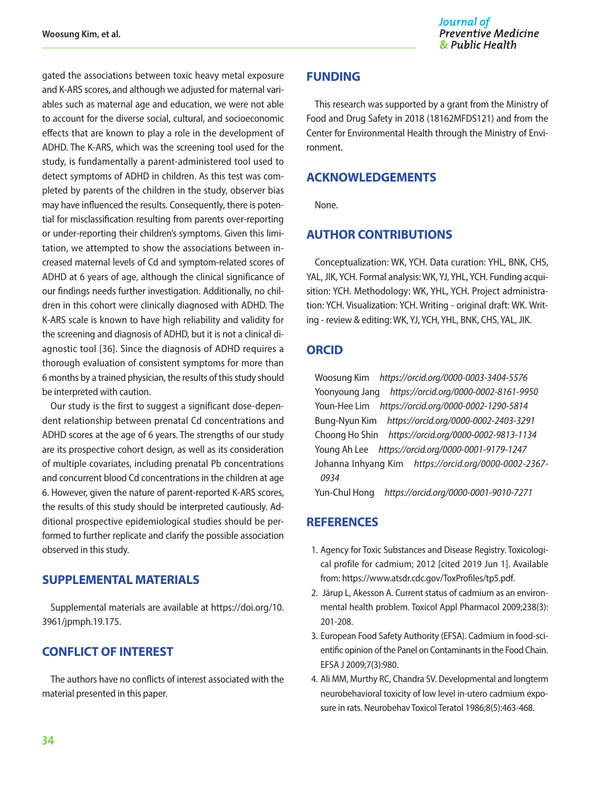gated the associations between toxic heavy metal exposure and K-ARS scores, and although we adjusted for maternal variables such as maternal age and education, we were not able to account for the diverse social, cultural, and socioeconomic effects that are known to play a role in the development of ADHD. The K-ARS, which was the screening tool used for the study, is fundamentally a parent-administered tool used to detect symptoms of ADHD in children. As this test was completed by parents of the children in the study, observer bias may have influenced the results. Consequently, there is potential for misclassification resulting from parents over-reporting or under-reporting their children's symptoms. Given this limitation, we attempted to show the associations between increased maternal levels of Cd and symptom-related scores of ADHD at 6 years of age, although the clinical significance of our findings needs further investigation. Additionally, no children in this cohort were clinically diagnosed with ADHD. The K-ARS scale is known to have high reliability and validity for the screening and diagnosis of ADHD, but it is not a clinical diagnostic tool [36]. Since the diagnosis of ADHD requires a thorough evaluation of consistent symptoms for more than 6 months by a trained physician, the results of this study should be interpreted with caution.

Our study is the first to suggest a significant dose-dependent relationship between prenatal Cd concentrations and ADHD scores at the age of 6 years. The strengths of our study are its prospective cohort design, as well as its consideration of multiple covariates, including prenatal Pb concentrations and concurrent blood Cd concentrations in the children at age 6. However, given the nature of parent-reported K-ARS scores, the results of this study should be interpreted cautiously. Additional prospective epidemiological studies should be performed to further replicate and clarify the possible association observed in this study.

### **SUPPLEMENTAL MATERIALS**

Supplemental materials are available at [https://doi.org/10.](https://doi.org/10.3961/jpmph.19.175) [3961/jpmph.19.175.](https://doi.org/10.3961/jpmph.19.175)

## **CONFLICT OF INTEREST**

The authors have no conflicts of interest associated with the material presented in this paper.

### **FUNDING**

This research was supported by a grant from the Ministry of Food and Drug Safety in 2018 (18162MFDS121) and from the Center for Environmental Health through the Ministry of Environment.

## **ACKNOWLEDGEMENTS**

None.

## **AUTHOR CONTRIBUTIONS**

Conceptualization: WK, YCH. Data curation: YHL, BNK, CHS, YAL, JIK, YCH. Formal analysis: WK, YJ, YHL, YCH. Funding acquisition: YCH. Methodology: WK, YHL, YCH. Project administration: YCH. Visualization: YCH. Writing - original draft: WK. Writing - review & editing: WK, YJ, YCH, YHL, BNK, CHS, YAL, JIK.

## **ORCID**

Woosung Kim *https://orcid.org/0000-0003-3404-5576* Yoonyoung Jang *https://orcid.org/0000-0002-8161-9950* Youn-Hee Lim *https://orcid.org/0000-0002-1290-5814* Bung-Nyun Kim *https://orcid.org/0000-0002-2403-3291* Choong Ho Shin *https://orcid.org/0000-0002-9813-1134* Young Ah Lee *https://orcid.org/0000-0001-9179-1247* Johanna Inhyang Kim *https://orcid.org/0000-0002-2367- 0934*

Yun-Chul Hong *https://orcid.org/0000-0001-9010-7271*

## **REFERENCES**

- 1. Agency for Toxic Substances and Disease Registry. Toxicological profile for cadmium; 2012 [cited 2019 Jun 1]. Available from: https://www.atsdr.cdc.gov/ToxProfiles/tp5.pdf.
- 2. Järup L, Akesson A. Current status of cadmium as an environmental health problem. Toxicol Appl Pharmacol 2009;238(3): 201-208.
- 3. European Food Safety Authority (EFSA). Cadmium in food‐scientific opinion of the Panel on Contaminants in the Food Chain. EFSA J 2009;7(3):980.
- 4. Ali MM, Murthy RC, Chandra SV. Developmental and longterm neurobehavioral toxicity of low level in-utero cadmium exposure in rats. Neurobehav Toxicol Teratol 1986;8(5):463-468.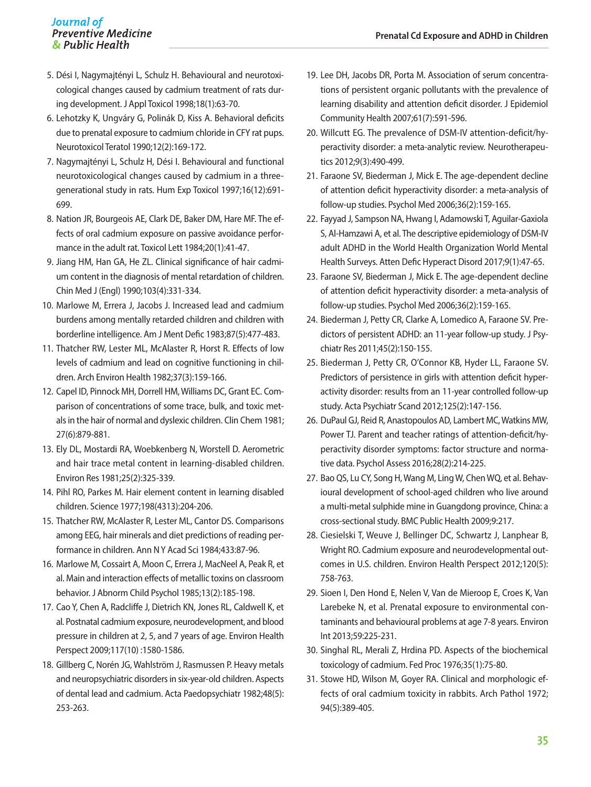#### Journal of **Preventive Medicine** & Public Health

- 5. Dési I, Nagymajtényi L, Schulz H. Behavioural and neurotoxicological changes caused by cadmium treatment of rats during development. J Appl Toxicol 1998;18(1):63-70.
- 6. Lehotzky K, Ungváry G, Polinák D, Kiss A. Behavioral deficits due to prenatal exposure to cadmium chloride in CFY rat pups. Neurotoxicol Teratol 1990;12(2):169-172.
- 7. Nagymajtényi L, Schulz H, Dési I. Behavioural and functional neurotoxicological changes caused by cadmium in a threegenerational study in rats. Hum Exp Toxicol 1997;16(12):691- 699.
- 8. Nation JR, Bourgeois AE, Clark DE, Baker DM, Hare MF. The effects of oral cadmium exposure on passive avoidance performance in the adult rat. Toxicol Lett 1984;20(1):41-47.
- 9. Jiang HM, Han GA, He ZL. Clinical significance of hair cadmium content in the diagnosis of mental retardation of children. Chin Med J (Engl) 1990;103(4):331-334.
- 10. Marlowe M, Errera J, Jacobs J. Increased lead and cadmium burdens among mentally retarded children and children with borderline intelligence. Am J Ment Defic 1983;87(5):477-483.
- 11. Thatcher RW, Lester ML, McAlaster R, Horst R. Effects of low levels of cadmium and lead on cognitive functioning in children. Arch Environ Health 1982;37(3):159-166.
- 12. Capel ID, Pinnock MH, Dorrell HM, Williams DC, Grant EC. Comparison of concentrations of some trace, bulk, and toxic metals in the hair of normal and dyslexic children. Clin Chem 1981; 27(6):879-881.
- 13. Ely DL, Mostardi RA, Woebkenberg N, Worstell D. Aerometric and hair trace metal content in learning-disabled children. Environ Res 1981;25(2):325-339.
- 14. Pihl RO, Parkes M. Hair element content in learning disabled children. Science 1977;198(4313):204-206.
- 15. Thatcher RW, McAlaster R, Lester ML, Cantor DS. Comparisons among EEG, hair minerals and diet predictions of reading performance in children. Ann N Y Acad Sci 1984;433:87-96.
- 16. Marlowe M, Cossairt A, Moon C, Errera J, MacNeel A, Peak R, et al. Main and interaction effects of metallic toxins on classroom behavior. J Abnorm Child Psychol 1985;13(2):185-198.
- 17. Cao Y, Chen A, Radcliffe J, Dietrich KN, Jones RL, Caldwell K, et al. Postnatal cadmium exposure, neurodevelopment, and blood pressure in children at 2, 5, and 7 years of age. Environ Health Perspect 2009;117(10) :1580-1586.
- 18. Gillberg C, Norén JG, Wahlström J, Rasmussen P. Heavy metals and neuropsychiatric disorders in six-year-old children. Aspects of dental lead and cadmium. Acta Paedopsychiatr 1982;48(5): 253-263.
- 19. Lee DH, Jacobs DR, Porta M. Association of serum concentrations of persistent organic pollutants with the prevalence of learning disability and attention deficit disorder. J Epidemiol Community Health 2007;61(7):591-596.
- 20. Willcutt EG. The prevalence of DSM-IV attention-deficit/hyperactivity disorder: a meta-analytic review. Neurotherapeutics 2012;9(3):490-499.
- 21. Faraone SV, Biederman J, Mick E. The age-dependent decline of attention deficit hyperactivity disorder: a meta-analysis of follow-up studies. Psychol Med 2006;36(2):159-165.
- 22. Fayyad J, Sampson NA, Hwang I, Adamowski T, Aguilar-Gaxiola S, Al-Hamzawi A, et al. The descriptive epidemiology of DSM-IV adult ADHD in the World Health Organization World Mental Health Surveys. Atten Defic Hyperact Disord 2017;9(1):47-65.
- 23. Faraone SV, Biederman J, Mick E. The age-dependent decline of attention deficit hyperactivity disorder: a meta-analysis of follow-up studies. Psychol Med 2006;36(2):159-165.
- 24. Biederman J, Petty CR, Clarke A, Lomedico A, Faraone SV. Predictors of persistent ADHD: an 11-year follow-up study. J Psychiatr Res 2011;45(2):150-155.
- 25. Biederman J, Petty CR, O'Connor KB, Hyder LL, Faraone SV. Predictors of persistence in girls with attention deficit hyperactivity disorder: results from an 11-year controlled follow-up study. Acta Psychiatr Scand 2012;125(2):147-156.
- 26. DuPaul GJ, Reid R, Anastopoulos AD, Lambert MC, Watkins MW, Power TJ. Parent and teacher ratings of attention-deficit/hyperactivity disorder symptoms: factor structure and normative data. Psychol Assess 2016;28(2):214-225.
- 27. Bao QS, Lu CY, Song H, Wang M, Ling W, Chen WQ, et al. Behavioural development of school-aged children who live around a multi-metal sulphide mine in Guangdong province, China: a cross-sectional study. BMC Public Health 2009;9:217.
- 28. Ciesielski T, Weuve J, Bellinger DC, Schwartz J, Lanphear B, Wright RO. Cadmium exposure and neurodevelopmental outcomes in U.S. children. Environ Health Perspect 2012;120(5): 758-763.
- 29. Sioen I, Den Hond E, Nelen V, Van de Mieroop E, Croes K, Van Larebeke N, et al. Prenatal exposure to environmental contaminants and behavioural problems at age 7-8 years. Environ Int 2013;59:225-231.
- 30. Singhal RL, Merali Z, Hrdina PD. Aspects of the biochemical toxicology of cadmium. Fed Proc 1976;35(1):75-80.
- 31. Stowe HD, Wilson M, Goyer RA. Clinical and morphologic effects of oral cadmium toxicity in rabbits. Arch Pathol 1972; 94(5):389-405.